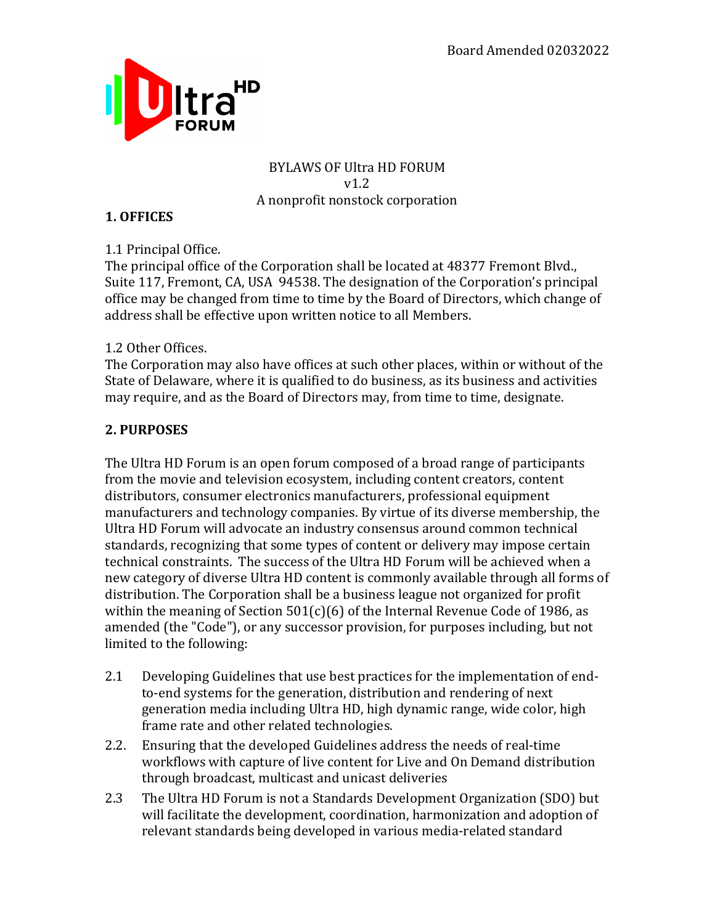

#### **BYLAWS OF Ultra HD FORUM** v1.2 A nonprofit nonstock corporation

## **1. OFFICES**

1.1 Principal Office.

The principal office of the Corporation shall be located at 48377 Fremont Blvd., Suite 117, Fremont, CA, USA 94538. The designation of the Corporation's principal office may be changed from time to time by the Board of Directors, which change of address shall be effective upon written notice to all Members.

## 1.2 Other Offices.

The Corporation may also have offices at such other places, within or without of the State of Delaware, where it is qualified to do business, as its business and activities may require, and as the Board of Directors may, from time to time, designate.

## **2. PURPOSES**

The Ultra HD Forum is an open forum composed of a broad range of participants from the movie and television ecosystem, including content creators, content distributors, consumer electronics manufacturers, professional equipment manufacturers and technology companies. By virtue of its diverse membership, the Ultra HD Forum will advocate an industry consensus around common technical standards, recognizing that some types of content or delivery may impose certain technical constraints. The success of the Ultra HD Forum will be achieved when a new category of diverse Ultra HD content is commonly available through all forms of distribution. The Corporation shall be a business league not organized for profit within the meaning of Section  $501(c)(6)$  of the Internal Revenue Code of 1986, as amended (the "Code"), or any successor provision, for purposes including, but not limited to the following:

- 2.1 Developing Guidelines that use best practices for the implementation of endto-end systems for the generation, distribution and rendering of next generation media including Ultra HD, high dynamic range, wide color, high frame rate and other related technologies.
- 2.2. Ensuring that the developed Guidelines address the needs of real-time workflows with capture of live content for Live and On Demand distribution through broadcast, multicast and unicast deliveries
- 2.3 The Ultra HD Forum is not a Standards Development Organization (SDO) but will facilitate the development, coordination, harmonization and adoption of relevant standards being developed in various media-related standard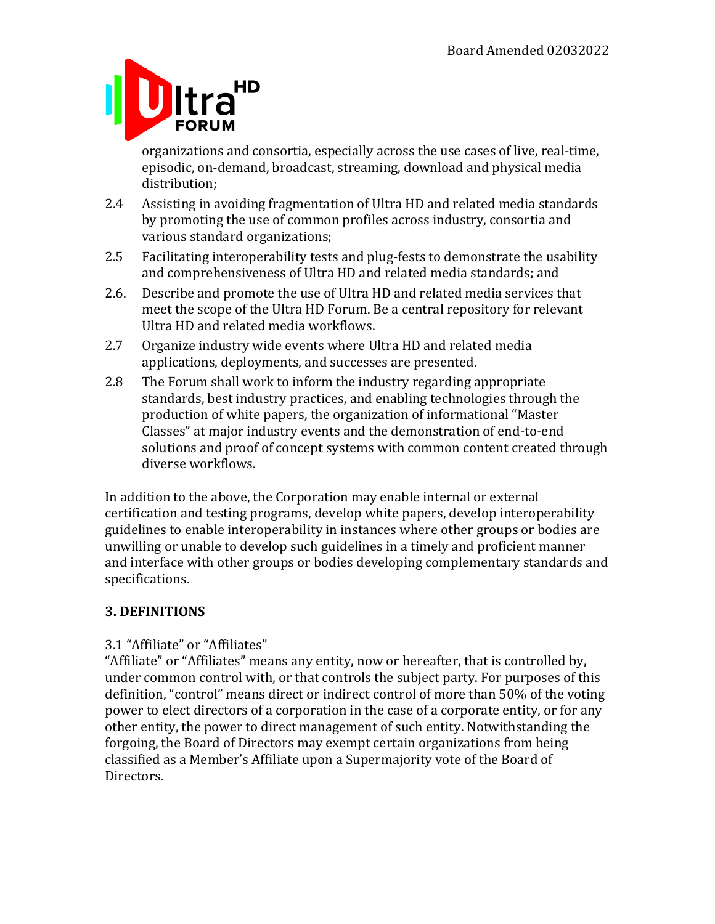

organizations and consortia, especially across the use cases of live, real-time, episodic, on-demand, broadcast, streaming, download and physical media distribution;

- 2.4 Assisting in avoiding fragmentation of Ultra HD and related media standards by promoting the use of common profiles across industry, consortia and various standard organizations;
- 2.5 Facilitating interoperability tests and plug-fests to demonstrate the usability and comprehensiveness of Ultra HD and related media standards; and
- 2.6. Describe and promote the use of Ultra HD and related media services that meet the scope of the Ultra HD Forum. Be a central repository for relevant Ultra HD and related media workflows.
- 2.7 Organize industry wide events where Ultra HD and related media applications, deployments, and successes are presented.
- 2.8 The Forum shall work to inform the industry regarding appropriate standards, best industry practices, and enabling technologies through the production of white papers, the organization of informational "Master" Classes" at major industry events and the demonstration of end-to-end solutions and proof of concept systems with common content created through diverse workflows.

In addition to the above, the Corporation may enable internal or external certification and testing programs, develop white papers, develop interoperability guidelines to enable interoperability in instances where other groups or bodies are unwilling or unable to develop such guidelines in a timely and proficient manner and interface with other groups or bodies developing complementary standards and specifications.

## **3. DEFINITIONS**

## 3.1 "Affiliate" or "Affiliates"

"Affiliate" or "Affiliates" means any entity, now or hereafter, that is controlled by, under common control with, or that controls the subject party. For purposes of this definition, "control" means direct or indirect control of more than 50% of the voting power to elect directors of a corporation in the case of a corporate entity, or for any other entity, the power to direct management of such entity. Notwithstanding the forgoing, the Board of Directors may exempt certain organizations from being classified as a Member's Affiliate upon a Supermajority vote of the Board of Directors.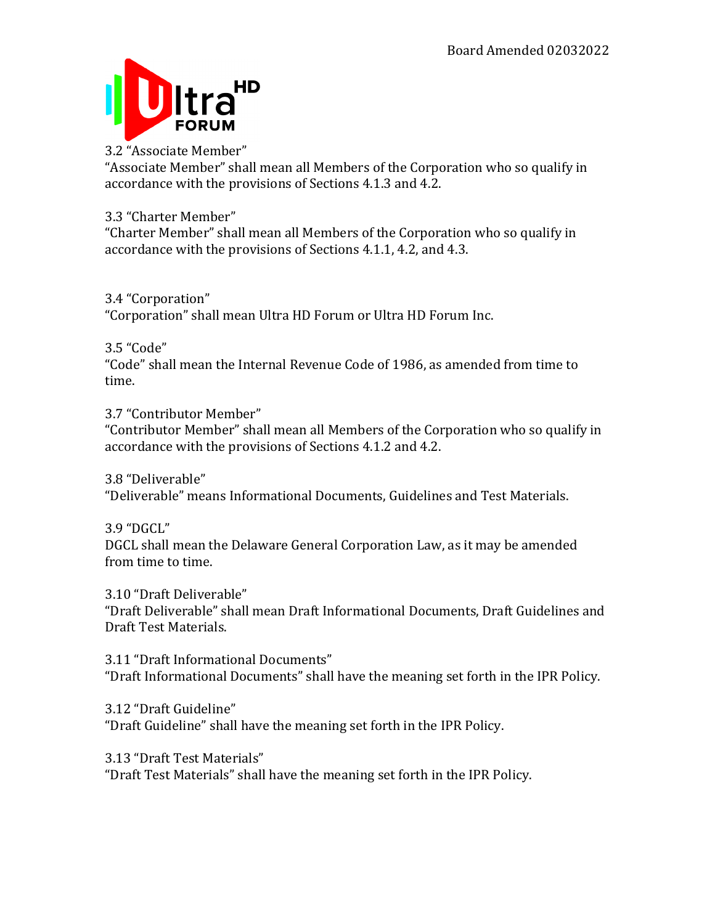

#### 3.2 "Associate Member"

"Associate Member" shall mean all Members of the Corporation who so qualify in accordance with the provisions of Sections 4.1.3 and 4.2.

## 3.3 "Charter Member"

"Charter Member" shall mean all Members of the Corporation who so qualify in accordance with the provisions of Sections 4.1.1, 4.2, and 4.3.

## 3.4 "Corporation"

"Corporation" shall mean Ultra HD Forum or Ultra HD Forum Inc.

## 3.5 "Code"

"Code" shall mean the Internal Revenue Code of 1986, as amended from time to time.

## 3.7 "Contributor Member"

"Contributor Member" shall mean all Members of the Corporation who so qualify in accordance with the provisions of Sections 4.1.2 and 4.2.

3.8 "Deliverable"

"Deliverable" means Informational Documents, Guidelines and Test Materials.

#### 3.9 "DGCL"

DGCL shall mean the Delaware General Corporation Law, as it may be amended from time to time.

3.10 "Draft Deliverable" "Draft Deliverable" shall mean Draft Informational Documents, Draft Guidelines and Draft Test Materials.

## 3.11 "Draft Informational Documents" "Draft Informational Documents" shall have the meaning set forth in the IPR Policy.

## 3.12 "Draft Guideline"

"Draft Guideline" shall have the meaning set forth in the IPR Policy.

#### 3.13 "Draft Test Materials"

"Draft Test Materials" shall have the meaning set forth in the IPR Policy.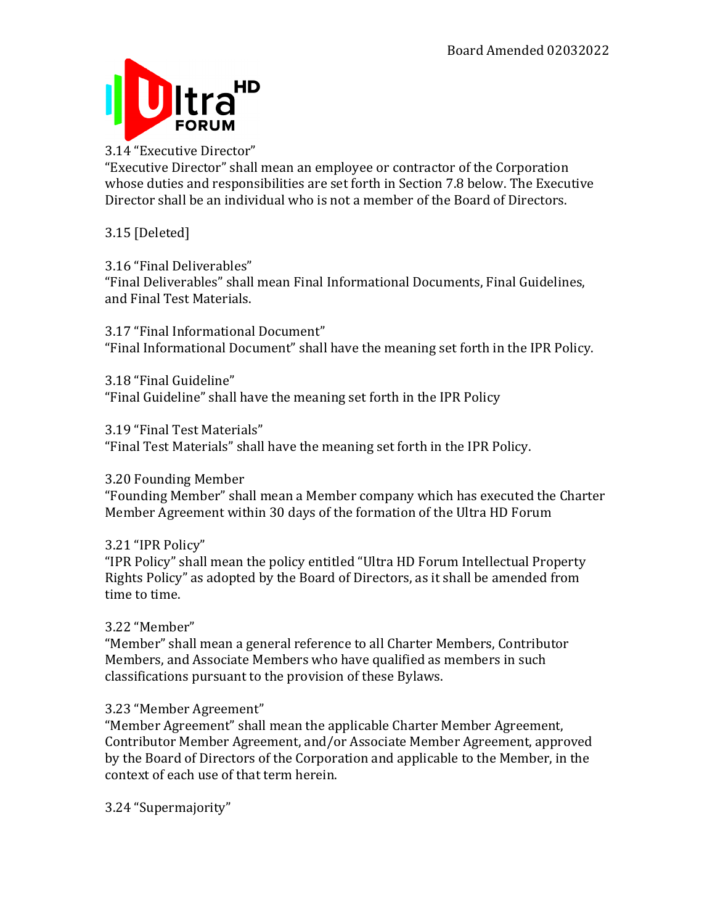

## 3.14 "Executive Director"

"Executive Director" shall mean an employee or contractor of the Corporation whose duties and responsibilities are set forth in Section 7.8 below. The Executive Director shall be an individual who is not a member of the Board of Directors.

## 3.15 [Deleted]

## 3.16 "Final Deliverables"

"Final Deliverables" shall mean Final Informational Documents, Final Guidelines, and Final Test Materials.

3.17 "Final Informational Document" "Final Informational Document" shall have the meaning set forth in the IPR Policy.

3.18 "Final Guideline" "Final Guideline" shall have the meaning set forth in the IPR Policy

3.19 "Final Test Materials"

"Final Test Materials" shall have the meaning set forth in the IPR Policy.

## 3.20 Founding Member

"Founding Member" shall mean a Member company which has executed the Charter Member Agreement within 30 days of the formation of the Ultra HD Forum

## 3.21 "IPR Policy"

"IPR Policy" shall mean the policy entitled "Ultra HD Forum Intellectual Property Rights Policy" as adopted by the Board of Directors, as it shall be amended from time to time.

## 3.22 "Member"

"Member" shall mean a general reference to all Charter Members, Contributor Members, and Associate Members who have qualified as members in such classifications pursuant to the provision of these Bylaws.

## 3.23 "Member Agreement"

"Member Agreement" shall mean the applicable Charter Member Agreement, Contributor Member Agreement, and/or Associate Member Agreement, approved by the Board of Directors of the Corporation and applicable to the Member, in the context of each use of that term herein.

3.24 "Supermajority"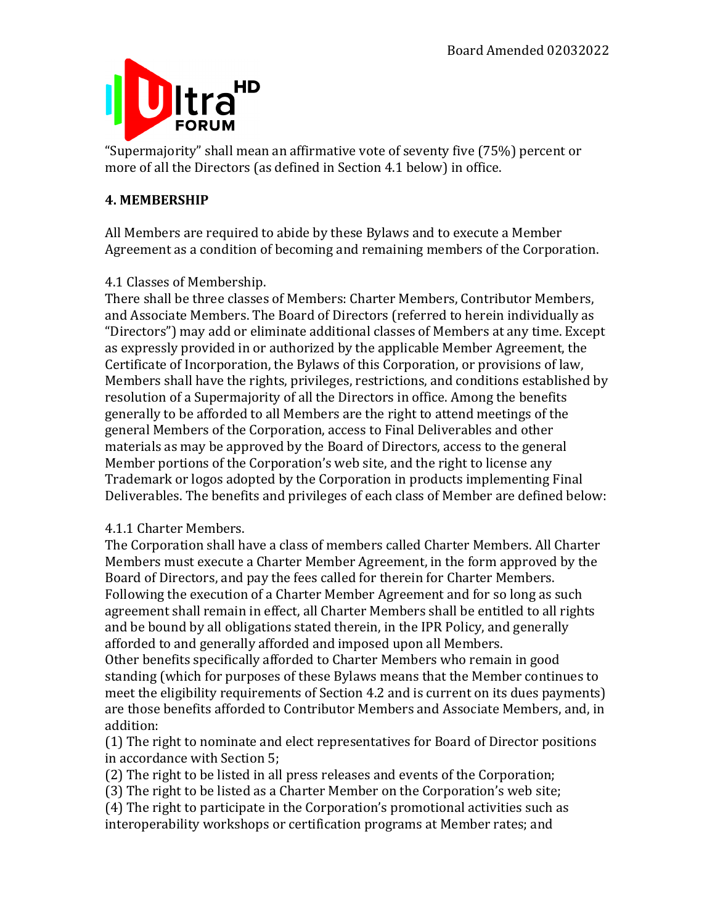

"Supermajority" shall mean an affirmative vote of seventy five (75%) percent or more of all the Directors (as defined in Section 4.1 below) in office.

## **4. MEMBERSHIP**

All Members are required to abide by these Bylaws and to execute a Member Agreement as a condition of becoming and remaining members of the Corporation.

## 4.1 Classes of Membership.

There shall be three classes of Members: Charter Members, Contributor Members, and Associate Members. The Board of Directors (referred to herein individually as "Directors") may add or eliminate additional classes of Members at any time. Except as expressly provided in or authorized by the applicable Member Agreement, the Certificate of Incorporation, the Bylaws of this Corporation, or provisions of law, Members shall have the rights, privileges, restrictions, and conditions established by resolution of a Supermajority of all the Directors in office. Among the benefits generally to be afforded to all Members are the right to attend meetings of the general Members of the Corporation, access to Final Deliverables and other materials as may be approved by the Board of Directors, access to the general Member portions of the Corporation's web site, and the right to license any Trademark or logos adopted by the Corporation in products implementing Final Deliverables. The benefits and privileges of each class of Member are defined below:

## 4.1.1 Charter Members.

The Corporation shall have a class of members called Charter Members. All Charter Members must execute a Charter Member Agreement, in the form approved by the Board of Directors, and pay the fees called for therein for Charter Members. Following the execution of a Charter Member Agreement and for so long as such agreement shall remain in effect, all Charter Members shall be entitled to all rights and be bound by all obligations stated therein, in the IPR Policy, and generally afforded to and generally afforded and imposed upon all Members.

Other benefits specifically afforded to Charter Members who remain in good standing (which for purposes of these Bylaws means that the Member continues to meet the eligibility requirements of Section 4.2 and is current on its dues payments) are those benefits afforded to Contributor Members and Associate Members, and, in addition:

(1) The right to nominate and elect representatives for Board of Director positions in accordance with Section 5:

(2) The right to be listed in all press releases and events of the Corporation;

(3) The right to be listed as a Charter Member on the Corporation's web site;

(4) The right to participate in the Corporation's promotional activities such as interoperability workshops or certification programs at Member rates; and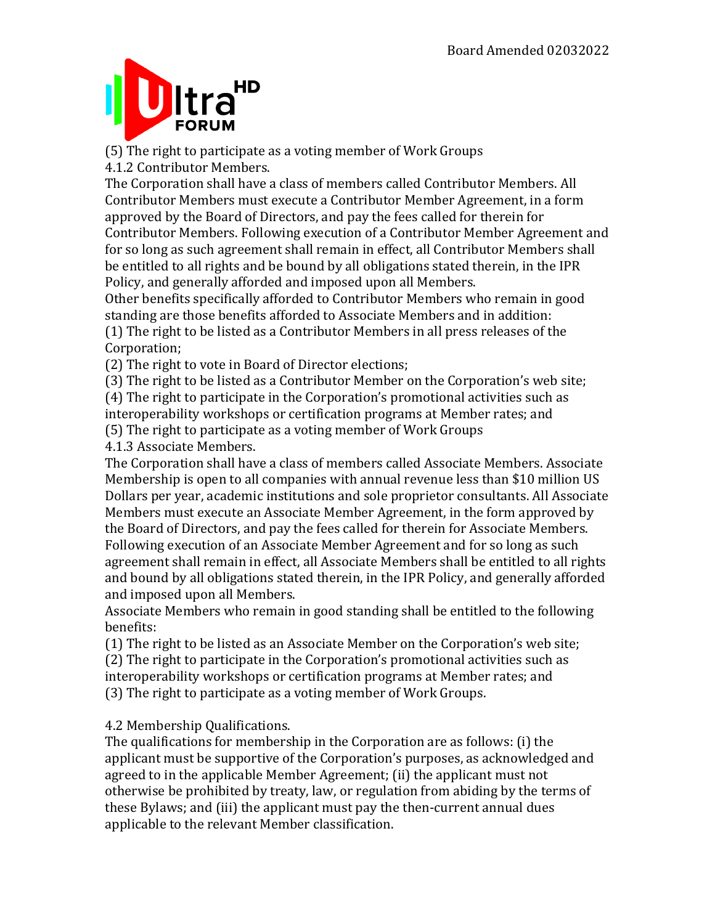## HD **Itra FORUM**

(5) The right to participate as a voting member of Work Groups 4.1.2 Contributor Members.

The Corporation shall have a class of members called Contributor Members. All Contributor Members must execute a Contributor Member Agreement, in a form approved by the Board of Directors, and pay the fees called for therein for Contributor Members. Following execution of a Contributor Member Agreement and for so long as such agreement shall remain in effect, all Contributor Members shall be entitled to all rights and be bound by all obligations stated therein, in the IPR Policy, and generally afforded and imposed upon all Members.

Other benefits specifically afforded to Contributor Members who remain in good standing are those benefits afforded to Associate Members and in addition:  $(1)$  The right to be listed as a Contributor Members in all press releases of the Corporation;

(2) The right to vote in Board of Director elections;

(3) The right to be listed as a Contributor Member on the Corporation's web site;

(4) The right to participate in the Corporation's promotional activities such as interoperability workshops or certification programs at Member rates; and

(5) The right to participate as a voting member of Work Groups

4.1.3 Associate Members.

The Corporation shall have a class of members called Associate Members. Associate Membership is open to all companies with annual revenue less than \$10 million US Dollars per year, academic institutions and sole proprietor consultants. All Associate Members must execute an Associate Member Agreement, in the form approved by the Board of Directors, and pay the fees called for therein for Associate Members. Following execution of an Associate Member Agreement and for so long as such agreement shall remain in effect, all Associate Members shall be entitled to all rights and bound by all obligations stated therein, in the IPR Policy, and generally afforded and imposed upon all Members.

Associate Members who remain in good standing shall be entitled to the following benefits:

(1) The right to be listed as an Associate Member on the Corporation's web site; (2) The right to participate in the Corporation's promotional activities such as interoperability workshops or certification programs at Member rates; and (3) The right to participate as a voting member of Work Groups.

## 4.2 Membership Qualifications.

The qualifications for membership in the Corporation are as follows: (i) the applicant must be supportive of the Corporation's purposes, as acknowledged and agreed to in the applicable Member Agreement; (ii) the applicant must not otherwise be prohibited by treaty, law, or regulation from abiding by the terms of these Bylaws; and (iii) the applicant must pay the then-current annual dues applicable to the relevant Member classification.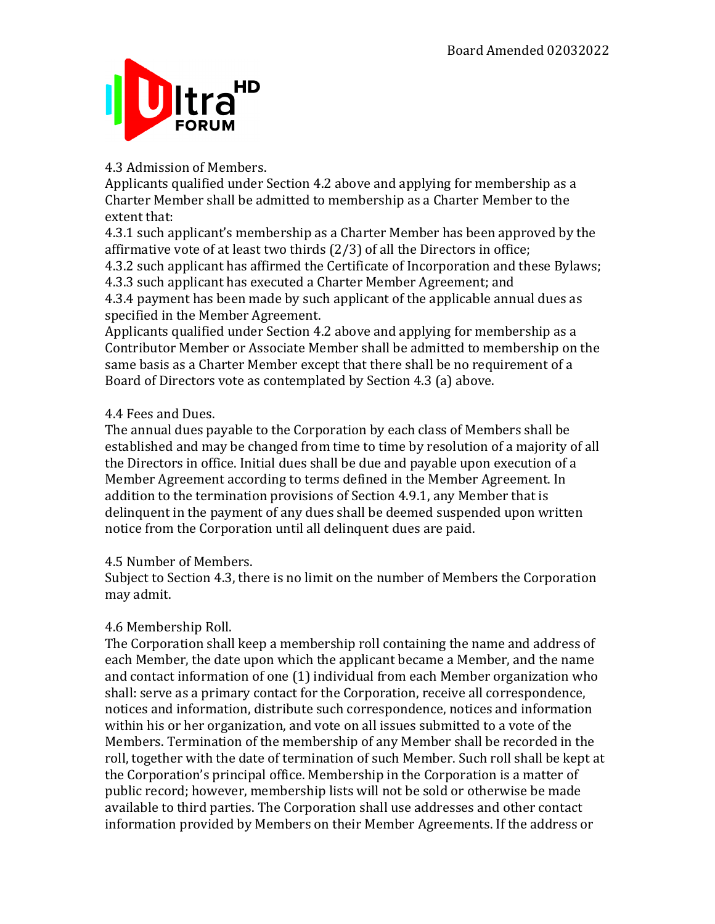

## 4.3 Admission of Members.

Applicants qualified under Section 4.2 above and applying for membership as a Charter Member shall be admitted to membership as a Charter Member to the extent that:

4.3.1 such applicant's membership as a Charter Member has been approved by the affirmative vote of at least two thirds  $(2/3)$  of all the Directors in office; 4.3.2 such applicant has affirmed the Certificate of Incorporation and these Bylaws; 4.3.3 such applicant has executed a Charter Member Agreement; and

4.3.4 payment has been made by such applicant of the applicable annual dues as specified in the Member Agreement.

Applicants qualified under Section 4.2 above and applying for membership as a Contributor Member or Associate Member shall be admitted to membership on the same basis as a Charter Member except that there shall be no requirement of a Board of Directors vote as contemplated by Section 4.3 (a) above.

## 4.4 Fees and Dues.

The annual dues payable to the Corporation by each class of Members shall be established and may be changed from time to time by resolution of a majority of all the Directors in office. Initial dues shall be due and payable upon execution of a Member Agreement according to terms defined in the Member Agreement. In addition to the termination provisions of Section  $4.9.1$ , any Member that is delinquent in the payment of any dues shall be deemed suspended upon written notice from the Corporation until all delinquent dues are paid.

#### 4.5 Number of Members.

Subject to Section 4.3, there is no limit on the number of Members the Corporation may admit.

## 4.6 Membership Roll.

The Corporation shall keep a membership roll containing the name and address of each Member, the date upon which the applicant became a Member, and the name and contact information of one  $(1)$  individual from each Member organization who shall: serve as a primary contact for the Corporation, receive all correspondence, notices and information, distribute such correspondence, notices and information within his or her organization, and vote on all issues submitted to a vote of the Members. Termination of the membership of any Member shall be recorded in the roll, together with the date of termination of such Member. Such roll shall be kept at the Corporation's principal office. Membership in the Corporation is a matter of public record; however, membership lists will not be sold or otherwise be made available to third parties. The Corporation shall use addresses and other contact information provided by Members on their Member Agreements. If the address or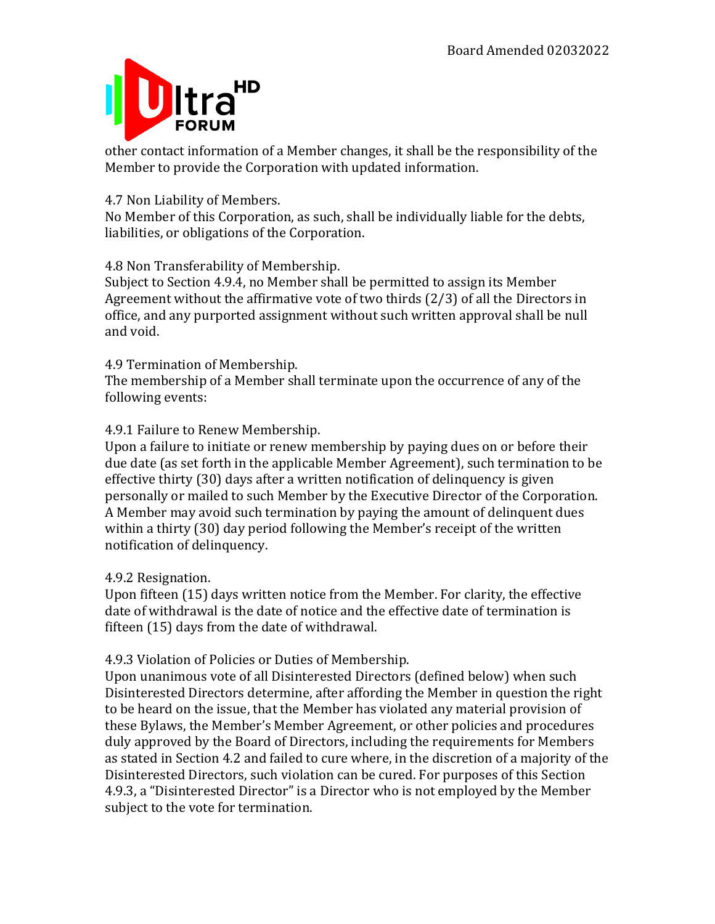

other contact information of a Member changes, it shall be the responsibility of the Member to provide the Corporation with updated information.

## 4.7 Non Liability of Members.

No Member of this Corporation, as such, shall be individually liable for the debts, liabilities, or obligations of the Corporation.

4.8 Non Transferability of Membership.

Subject to Section 4.9.4, no Member shall be permitted to assign its Member Agreement without the affirmative vote of two thirds  $(2/3)$  of all the Directors in office, and any purported assignment without such written approval shall be null and void.

## 4.9 Termination of Membership.

The membership of a Member shall terminate upon the occurrence of any of the following events:

## 4.9.1 Failure to Renew Membership.

Upon a failure to initiate or renew membership by paying dues on or before their due date (as set forth in the applicable Member Agreement), such termination to be effective thirty  $(30)$  days after a written notification of delinguency is given personally or mailed to such Member by the Executive Director of the Corporation. A Member may avoid such termination by paying the amount of delinquent dues within a thirty (30) day period following the Member's receipt of the written notification of delinquency.

#### 4.9.2 Resignation.

Upon fifteen (15) days written notice from the Member. For clarity, the effective date of withdrawal is the date of notice and the effective date of termination is fifteen  $(15)$  days from the date of withdrawal.

## 4.9.3 Violation of Policies or Duties of Membership.

Upon unanimous vote of all Disinterested Directors (defined below) when such Disinterested Directors determine, after affording the Member in question the right to be heard on the issue, that the Member has violated any material provision of these Bylaws, the Member's Member Agreement, or other policies and procedures duly approved by the Board of Directors, including the requirements for Members as stated in Section 4.2 and failed to cure where, in the discretion of a majority of the Disinterested Directors, such violation can be cured. For purposes of this Section 4.9.3, a "Disinterested Director" is a Director who is not employed by the Member subject to the vote for termination.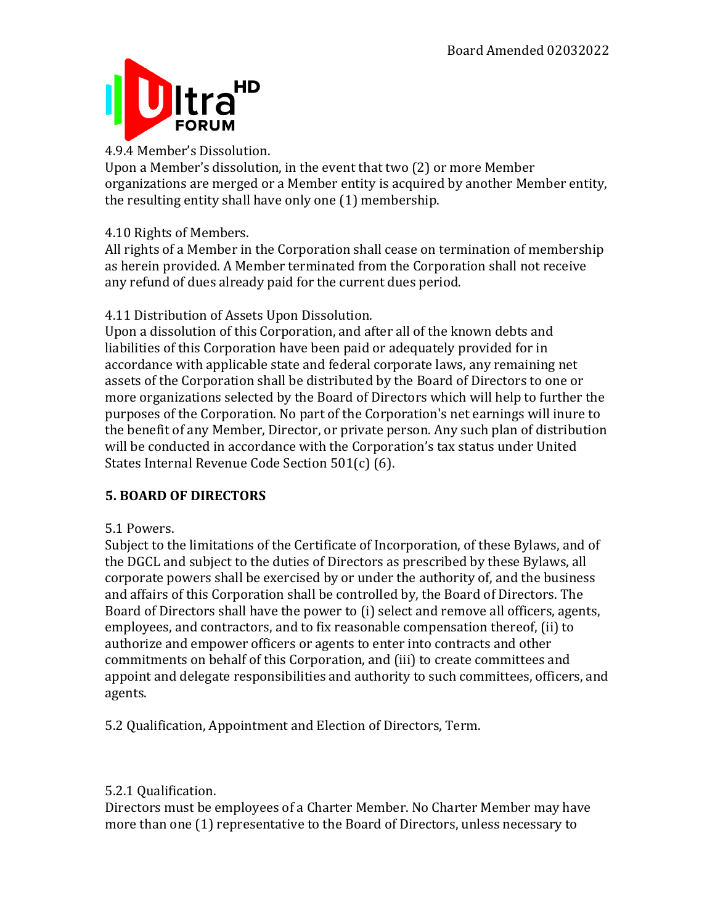

## 4.9.4 Member's Dissolution.

Upon a Member's dissolution, in the event that two (2) or more Member organizations are merged or a Member entity is acquired by another Member entity, the resulting entity shall have only one (1) membership.

## 4.10 Rights of Members.

All rights of a Member in the Corporation shall cease on termination of membership as herein provided. A Member terminated from the Corporation shall not receive any refund of dues already paid for the current dues period.

## 4.11 Distribution of Assets Upon Dissolution.

Upon a dissolution of this Corporation, and after all of the known debts and liabilities of this Corporation have been paid or adequately provided for in accordance with applicable state and federal corporate laws, any remaining net assets of the Corporation shall be distributed by the Board of Directors to one or more organizations selected by the Board of Directors which will help to further the purposes of the Corporation. No part of the Corporation's net earnings will inure to the benefit of any Member, Director, or private person. Any such plan of distribution will be conducted in accordance with the Corporation's tax status under United States Internal Revenue Code Section  $501(c)$  (6).

## **5. BOARD OF DIRECTORS**

## 5.1 Powers.

Subject to the limitations of the Certificate of Incorporation, of these Bylaws, and of the DGCL and subject to the duties of Directors as prescribed by these Bylaws, all corporate powers shall be exercised by or under the authority of, and the business and affairs of this Corporation shall be controlled by, the Board of Directors. The Board of Directors shall have the power to (i) select and remove all officers, agents, employees, and contractors, and to fix reasonable compensation thereof, (ii) to authorize and empower officers or agents to enter into contracts and other commitments on behalf of this Corporation, and (iii) to create committees and appoint and delegate responsibilities and authority to such committees, officers, and agents.

5.2 Qualification, Appointment and Election of Directors, Term.

## 5.2.1 Qualification.

Directors must be employees of a Charter Member. No Charter Member may have more than one (1) representative to the Board of Directors, unless necessary to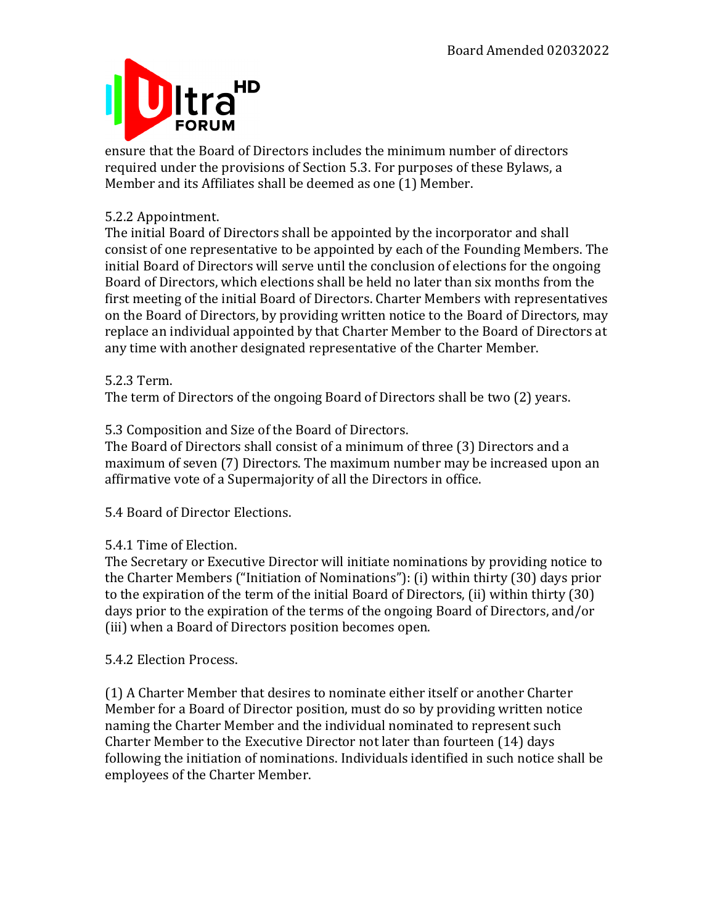

ensure that the Board of Directors includes the minimum number of directors required under the provisions of Section 5.3. For purposes of these Bylaws, a Member and its Affiliates shall be deemed as one (1) Member.

## 5.2.2 Appointment.

The initial Board of Directors shall be appointed by the incorporator and shall consist of one representative to be appointed by each of the Founding Members. The initial Board of Directors will serve until the conclusion of elections for the ongoing Board of Directors, which elections shall be held no later than six months from the first meeting of the initial Board of Directors. Charter Members with representatives on the Board of Directors, by providing written notice to the Board of Directors, may replace an individual appointed by that Charter Member to the Board of Directors at any time with another designated representative of the Charter Member.

## 5.2.3 Term.

The term of Directors of the ongoing Board of Directors shall be two (2) years.

## 5.3 Composition and Size of the Board of Directors.

The Board of Directors shall consist of a minimum of three (3) Directors and a maximum of seven (7) Directors. The maximum number may be increased upon an affirmative vote of a Supermajority of all the Directors in office.

5.4 Board of Director Elections.

## 5.4.1 Time of Election.

The Secretary or Executive Director will initiate nominations by providing notice to the Charter Members ("Initiation of Nominations"): (i) within thirty  $(30)$  days prior to the expiration of the term of the initial Board of Directors, (ii) within thirty (30) days prior to the expiration of the terms of the ongoing Board of Directors, and/or (iii) when a Board of Directors position becomes open.

5.4.2 Election Process.

(1) A Charter Member that desires to nominate either itself or another Charter Member for a Board of Director position, must do so by providing written notice naming the Charter Member and the individual nominated to represent such Charter Member to the Executive Director not later than fourteen  $(14)$  days following the initiation of nominations. Individuals identified in such notice shall be employees of the Charter Member.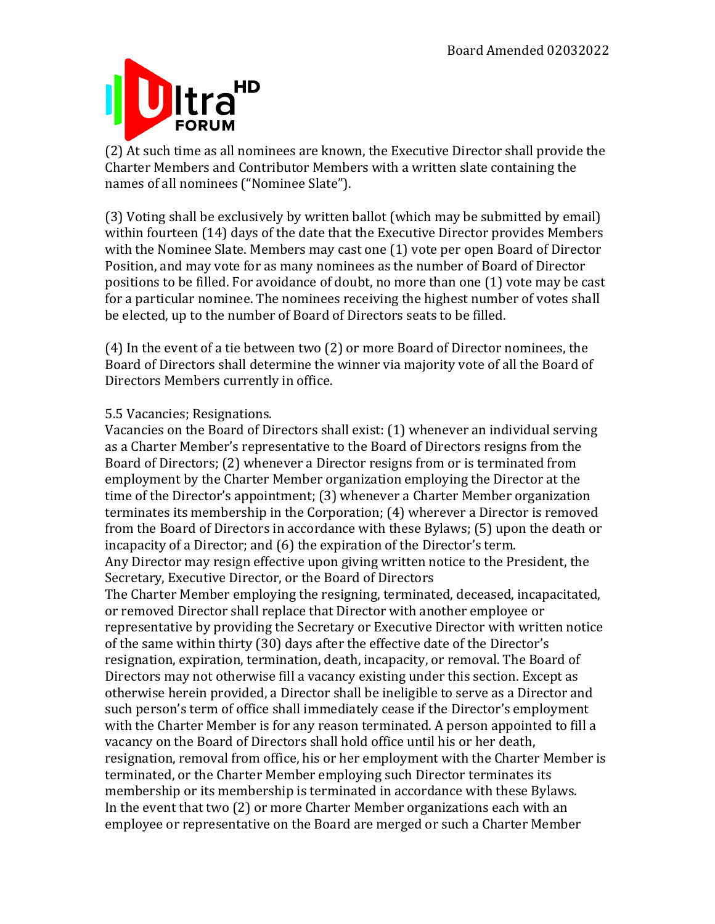

(2) At such time as all nominees are known, the Executive Director shall provide the Charter Members and Contributor Members with a written slate containing the names of all nominees ("Nominee Slate").

(3) Voting shall be exclusively by written ballot (which may be submitted by email) within fourteen (14) days of the date that the Executive Director provides Members with the Nominee Slate. Members may cast one  $(1)$  vote per open Board of Director Position, and may vote for as many nominees as the number of Board of Director positions to be filled. For avoidance of doubt, no more than one (1) vote may be cast for a particular nominee. The nominees receiving the highest number of votes shall be elected, up to the number of Board of Directors seats to be filled.

(4) In the event of a tie between two  $(2)$  or more Board of Director nominees, the Board of Directors shall determine the winner via majority vote of all the Board of Directors Members currently in office.

## 5.5 Vacancies; Resignations.

Vacancies on the Board of Directors shall exist: (1) whenever an individual serving as a Charter Member's representative to the Board of Directors resigns from the Board of Directors; (2) whenever a Director resigns from or is terminated from employment by the Charter Member organization employing the Director at the time of the Director's appointment; (3) whenever a Charter Member organization terminates its membership in the Corporation; (4) wherever a Director is removed from the Board of Directors in accordance with these Bylaws; (5) upon the death or incapacity of a Director; and (6) the expiration of the Director's term. Any Director may resign effective upon giving written notice to the President, the Secretary, Executive Director, or the Board of Directors The Charter Member employing the resigning, terminated, deceased, incapacitated, or removed Director shall replace that Director with another employee or representative by providing the Secretary or Executive Director with written notice of the same within thirty (30) days after the effective date of the Director's resignation, expiration, termination, death, incapacity, or removal. The Board of Directors may not otherwise fill a vacancy existing under this section. Except as otherwise herein provided, a Director shall be ineligible to serve as a Director and such person's term of office shall immediately cease if the Director's employment with the Charter Member is for any reason terminated. A person appointed to fill a vacancy on the Board of Directors shall hold office until his or her death, resignation, removal from office, his or her employment with the Charter Member is terminated, or the Charter Member employing such Director terminates its membership or its membership is terminated in accordance with these Bylaws. In the event that two  $(2)$  or more Charter Member organizations each with an employee or representative on the Board are merged or such a Charter Member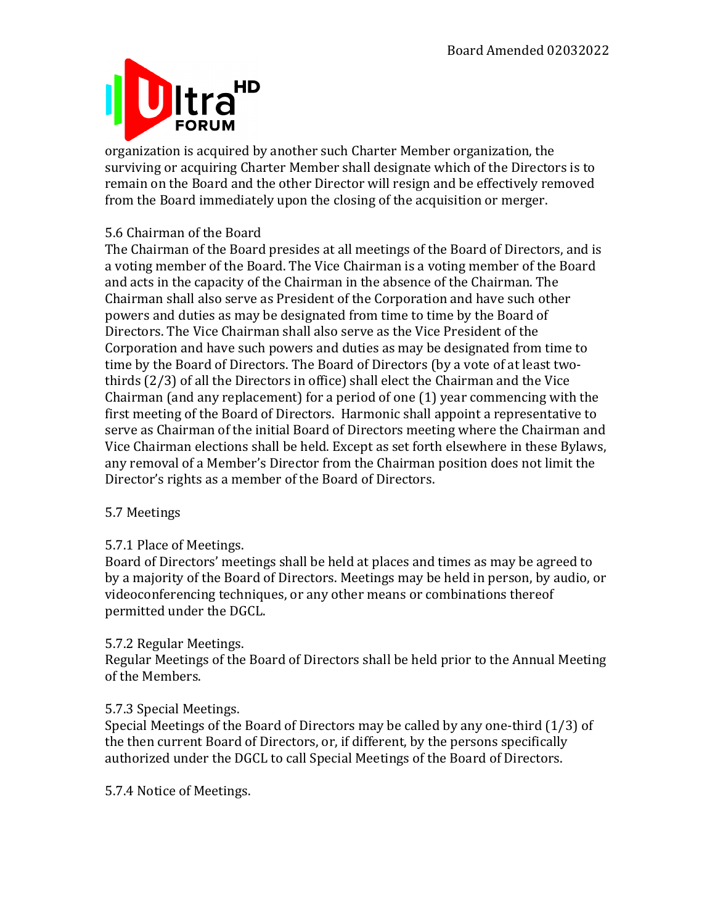

organization is acquired by another such Charter Member organization, the surviving or acquiring Charter Member shall designate which of the Directors is to remain on the Board and the other Director will resign and be effectively removed from the Board immediately upon the closing of the acquisition or merger.

## 5.6 Chairman of the Board

The Chairman of the Board presides at all meetings of the Board of Directors, and is a voting member of the Board. The Vice Chairman is a voting member of the Board and acts in the capacity of the Chairman in the absence of the Chairman. The Chairman shall also serve as President of the Corporation and have such other powers and duties as may be designated from time to time by the Board of Directors. The Vice Chairman shall also serve as the Vice President of the Corporation and have such powers and duties as may be designated from time to time by the Board of Directors. The Board of Directors (by a vote of at least twothirds  $(2/3)$  of all the Directors in office) shall elect the Chairman and the Vice Chairman (and any replacement) for a period of one  $(1)$  year commencing with the first meeting of the Board of Directors. Harmonic shall appoint a representative to serve as Chairman of the initial Board of Directors meeting where the Chairman and Vice Chairman elections shall be held. Except as set forth elsewhere in these Bylaws, any removal of a Member's Director from the Chairman position does not limit the Director's rights as a member of the Board of Directors.

## 5.7 Meetings

## 5.7.1 Place of Meetings.

Board of Directors' meetings shall be held at places and times as may be agreed to by a majority of the Board of Directors. Meetings may be held in person, by audio, or videoconferencing techniques, or any other means or combinations thereof permitted under the DGCL.

#### 5.7.2 Regular Meetings.

Regular Meetings of the Board of Directors shall be held prior to the Annual Meeting of the Members.

## 5.7.3 Special Meetings.

Special Meetings of the Board of Directors may be called by any one-third  $(1/3)$  of the then current Board of Directors, or, if different, by the persons specifically authorized under the DGCL to call Special Meetings of the Board of Directors.

5.7.4 Notice of Meetings.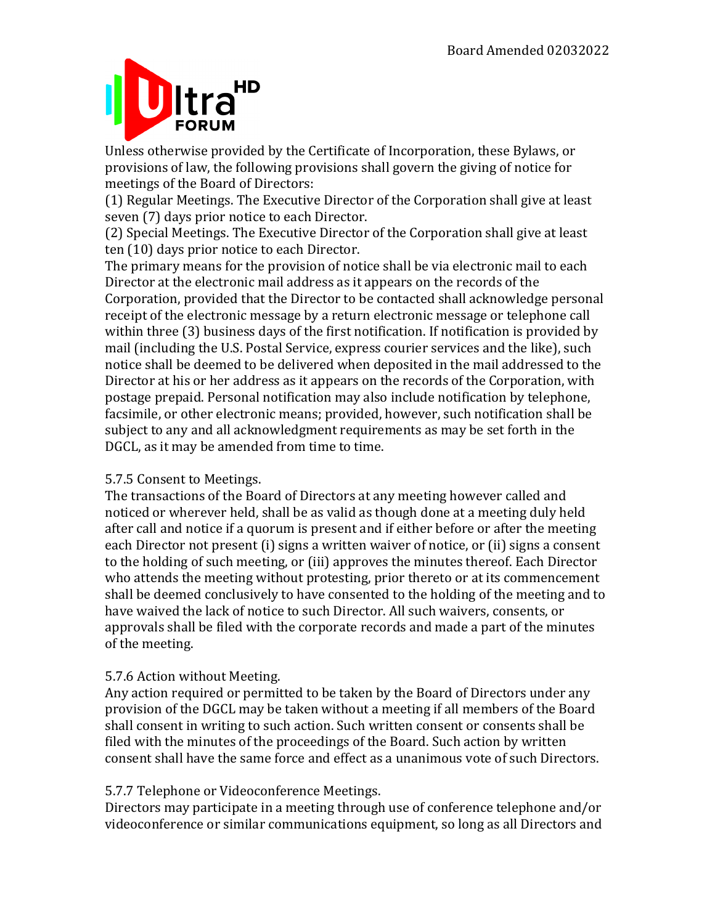## HD **FORUM**

Unless otherwise provided by the Certificate of Incorporation, these Bylaws, or provisions of law, the following provisions shall govern the giving of notice for meetings of the Board of Directors:

(1) Regular Meetings. The Executive Director of the Corporation shall give at least seven (7) days prior notice to each Director.

(2) Special Meetings. The Executive Director of the Corporation shall give at least ten (10) days prior notice to each Director.

The primary means for the provision of notice shall be via electronic mail to each Director at the electronic mail address as it appears on the records of the Corporation, provided that the Director to be contacted shall acknowledge personal receipt of the electronic message by a return electronic message or telephone call within three (3) business days of the first notification. If notification is provided by mail (including the U.S. Postal Service, express courier services and the like), such notice shall be deemed to be delivered when deposited in the mail addressed to the Director at his or her address as it appears on the records of the Corporation, with postage prepaid. Personal notification may also include notification by telephone, facsimile, or other electronic means; provided, however, such notification shall be subject to any and all acknowledgment requirements as may be set forth in the DGCL, as it may be amended from time to time.

## 5.7.5 Consent to Meetings.

The transactions of the Board of Directors at any meeting however called and noticed or wherever held, shall be as valid as though done at a meeting duly held after call and notice if a quorum is present and if either before or after the meeting each Director not present (i) signs a written waiver of notice, or (ii) signs a consent to the holding of such meeting, or (iii) approves the minutes thereof. Each Director who attends the meeting without protesting, prior thereto or at its commencement shall be deemed conclusively to have consented to the holding of the meeting and to have waived the lack of notice to such Director. All such waivers, consents, or approvals shall be filed with the corporate records and made a part of the minutes of the meeting.

## 5.7.6 Action without Meeting.

Any action required or permitted to be taken by the Board of Directors under any provision of the DGCL may be taken without a meeting if all members of the Board shall consent in writing to such action. Such written consent or consents shall be filed with the minutes of the proceedings of the Board. Such action by written consent shall have the same force and effect as a unanimous vote of such Directors.

## 5.7.7 Telephone or Videoconference Meetings.

Directors may participate in a meeting through use of conference telephone and/or videoconference or similar communications equipment, so long as all Directors and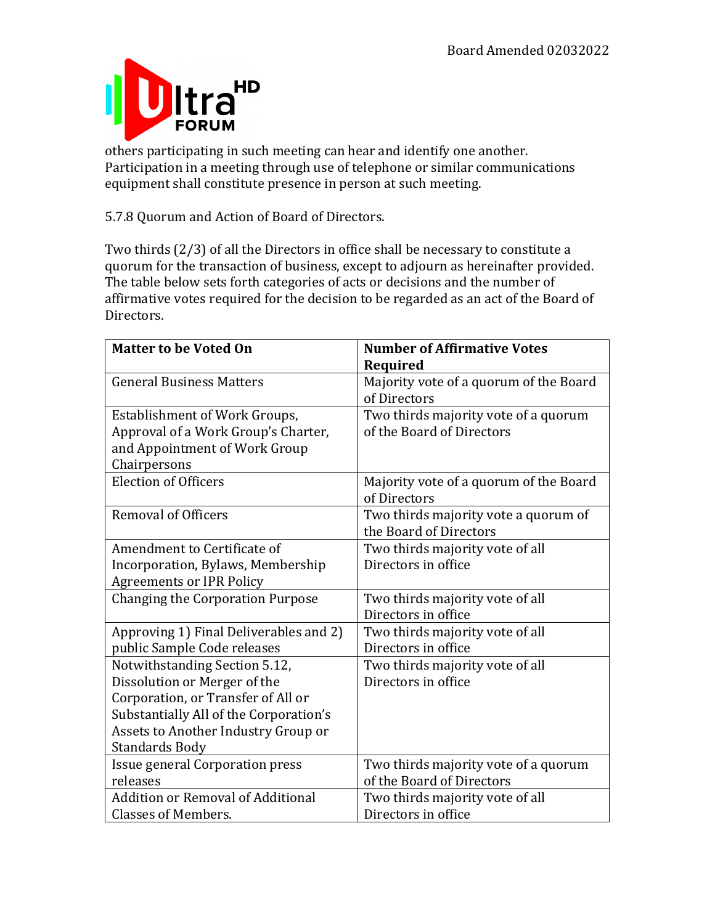

others participating in such meeting can hear and identify one another. Participation in a meeting through use of telephone or similar communications equipment shall constitute presence in person at such meeting.

5.7.8 Quorum and Action of Board of Directors.

Two thirds  $(2/3)$  of all the Directors in office shall be necessary to constitute a quorum for the transaction of business, except to adjourn as hereinafter provided. The table below sets forth categories of acts or decisions and the number of affirmative votes required for the decision to be regarded as an act of the Board of Directors.

| <b>Matter to be Voted On</b>             | <b>Number of Affirmative Votes</b>                     |
|------------------------------------------|--------------------------------------------------------|
|                                          | Required                                               |
| <b>General Business Matters</b>          | Majority vote of a quorum of the Board                 |
|                                          | of Directors                                           |
| <b>Establishment of Work Groups,</b>     | Two thirds majority vote of a quorum                   |
| Approval of a Work Group's Charter,      | of the Board of Directors                              |
| and Appointment of Work Group            |                                                        |
| Chairpersons                             |                                                        |
| <b>Election of Officers</b>              | Majority vote of a quorum of the Board<br>of Directors |
| <b>Removal of Officers</b>               | Two thirds majority vote a quorum of                   |
|                                          | the Board of Directors                                 |
| Amendment to Certificate of              | Two thirds majority vote of all                        |
| Incorporation, Bylaws, Membership        | Directors in office                                    |
| <b>Agreements or IPR Policy</b>          |                                                        |
| <b>Changing the Corporation Purpose</b>  | Two thirds majority vote of all                        |
|                                          | Directors in office                                    |
| Approving 1) Final Deliverables and 2)   | Two thirds majority vote of all                        |
| public Sample Code releases              | Directors in office                                    |
| Notwithstanding Section 5.12,            | Two thirds majority vote of all                        |
| Dissolution or Merger of the             | Directors in office                                    |
| Corporation, or Transfer of All or       |                                                        |
| Substantially All of the Corporation's   |                                                        |
| Assets to Another Industry Group or      |                                                        |
| <b>Standards Body</b>                    |                                                        |
| Issue general Corporation press          | Two thirds majority vote of a quorum                   |
| releases                                 | of the Board of Directors                              |
| <b>Addition or Removal of Additional</b> | Two thirds majority vote of all                        |
| <b>Classes of Members.</b>               | Directors in office                                    |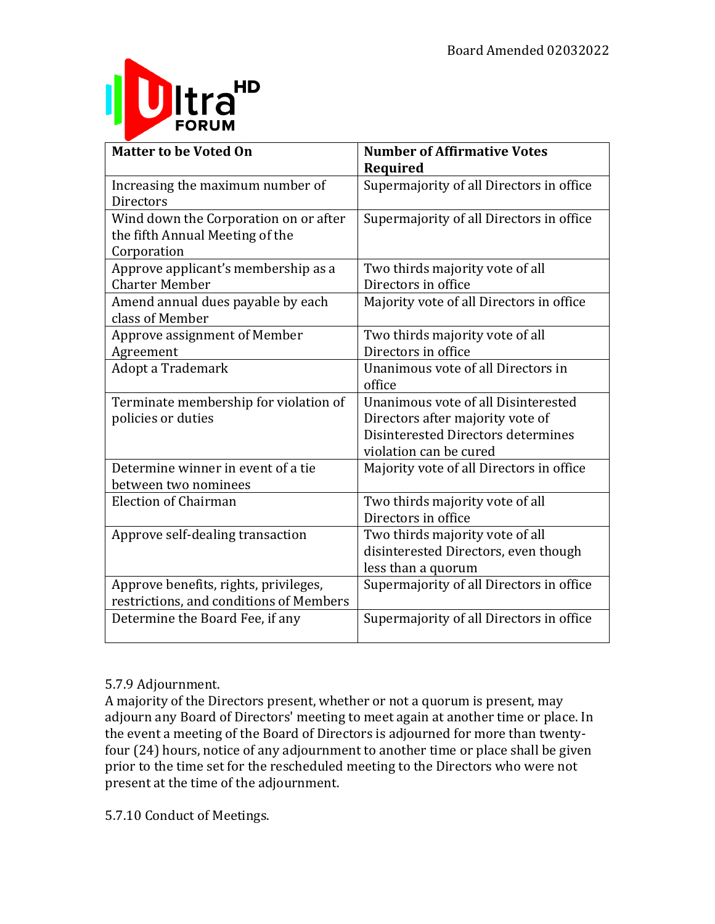

| <b>Matter to be Voted On</b>            | <b>Number of Affirmative Votes</b>       |
|-----------------------------------------|------------------------------------------|
|                                         | Required                                 |
| Increasing the maximum number of        | Supermajority of all Directors in office |
| <b>Directors</b>                        |                                          |
| Wind down the Corporation on or after   | Supermajority of all Directors in office |
| the fifth Annual Meeting of the         |                                          |
| Corporation                             |                                          |
| Approve applicant's membership as a     | Two thirds majority vote of all          |
| <b>Charter Member</b>                   | Directors in office                      |
| Amend annual dues payable by each       | Majority vote of all Directors in office |
| class of Member                         |                                          |
| Approve assignment of Member            | Two thirds majority vote of all          |
| Agreement                               | Directors in office                      |
| Adopt a Trademark                       | Unanimous vote of all Directors in       |
|                                         | office                                   |
| Terminate membership for violation of   | Unanimous vote of all Disinterested      |
| policies or duties                      | Directors after majority vote of         |
|                                         | Disinterested Directors determines       |
|                                         | violation can be cured                   |
| Determine winner in event of a tie      | Majority vote of all Directors in office |
| between two nominees                    |                                          |
| <b>Election of Chairman</b>             | Two thirds majority vote of all          |
|                                         | Directors in office                      |
| Approve self-dealing transaction        | Two thirds majority vote of all          |
|                                         | disinterested Directors, even though     |
|                                         | less than a quorum                       |
| Approve benefits, rights, privileges,   | Supermajority of all Directors in office |
| restrictions, and conditions of Members |                                          |
| Determine the Board Fee, if any         | Supermajority of all Directors in office |
|                                         |                                          |

## 5.7.9 Adjournment.

A majority of the Directors present, whether or not a quorum is present, may adjourn any Board of Directors' meeting to meet again at another time or place. In the event a meeting of the Board of Directors is adjourned for more than twentyfour (24) hours, notice of any adjournment to another time or place shall be given prior to the time set for the rescheduled meeting to the Directors who were not present at the time of the adjournment.

5.7.10 Conduct of Meetings.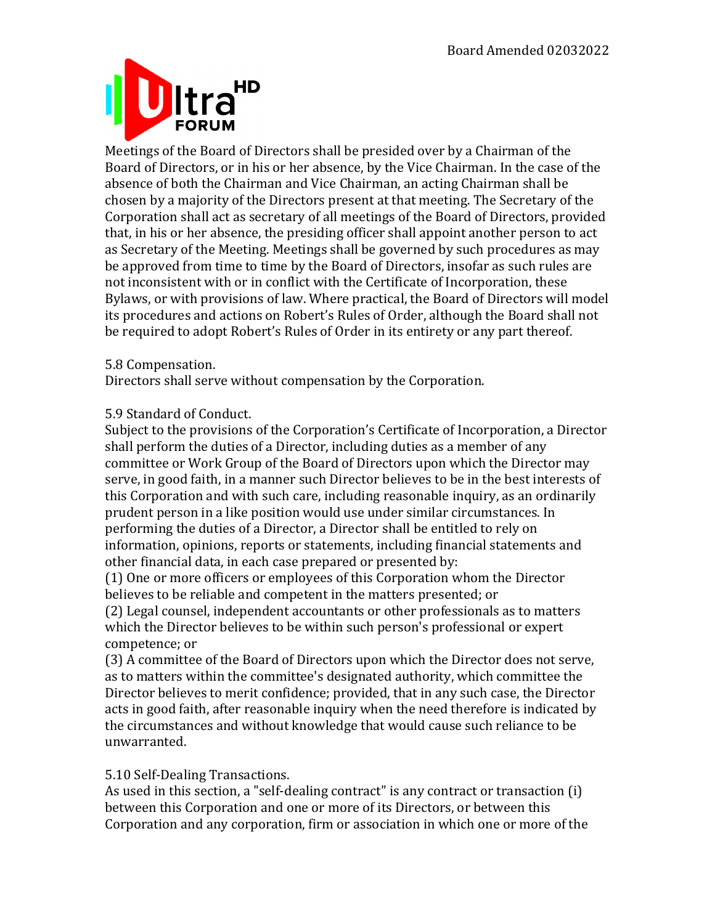

Meetings of the Board of Directors shall be presided over by a Chairman of the Board of Directors, or in his or her absence, by the Vice Chairman. In the case of the absence of both the Chairman and Vice Chairman, an acting Chairman shall be chosen by a majority of the Directors present at that meeting. The Secretary of the Corporation shall act as secretary of all meetings of the Board of Directors, provided that, in his or her absence, the presiding officer shall appoint another person to act as Secretary of the Meeting. Meetings shall be governed by such procedures as may be approved from time to time by the Board of Directors, insofar as such rules are not inconsistent with or in conflict with the Certificate of Incorporation, these Bylaws, or with provisions of law. Where practical, the Board of Directors will model its procedures and actions on Robert's Rules of Order, although the Board shall not be required to adopt Robert's Rules of Order in its entirety or any part thereof.

5.8 Compensation.

Directors shall serve without compensation by the Corporation.

#### 5.9 Standard of Conduct.

Subject to the provisions of the Corporation's Certificate of Incorporation, a Director shall perform the duties of a Director, including duties as a member of any committee or Work Group of the Board of Directors upon which the Director may serve, in good faith, in a manner such Director believes to be in the best interests of this Corporation and with such care, including reasonable inquiry, as an ordinarily prudent person in a like position would use under similar circumstances. In performing the duties of a Director, a Director shall be entitled to rely on information, opinions, reports or statements, including financial statements and other financial data, in each case prepared or presented by:

(1) One or more officers or employees of this Corporation whom the Director believes to be reliable and competent in the matters presented; or

(2) Legal counsel, independent accountants or other professionals as to matters which the Director believes to be within such person's professional or expert competence; or

(3) A committee of the Board of Directors upon which the Director does not serve, as to matters within the committee's designated authority, which committee the Director believes to merit confidence; provided, that in any such case, the Director acts in good faith, after reasonable inquiry when the need therefore is indicated by the circumstances and without knowledge that would cause such reliance to be unwarranted.

#### 5.10 Self-Dealing Transactions.

As used in this section, a "self-dealing contract" is any contract or transaction (i) between this Corporation and one or more of its Directors, or between this Corporation and any corporation, firm or association in which one or more of the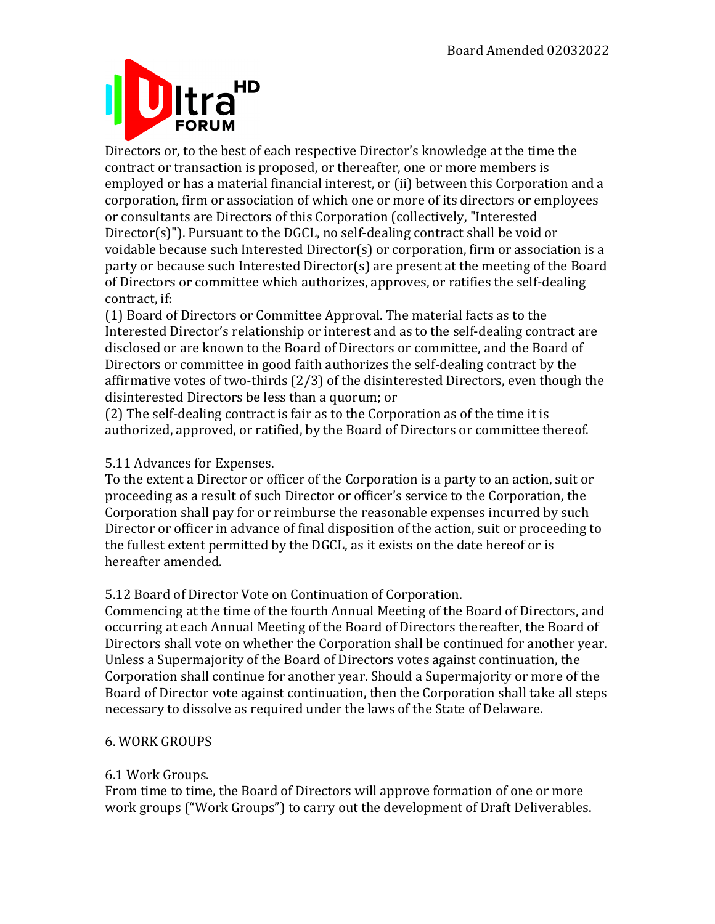# HD **FORUM**

Directors or, to the best of each respective Director's knowledge at the time the contract or transaction is proposed, or thereafter, one or more members is employed or has a material financial interest, or (ii) between this Corporation and a corporation, firm or association of which one or more of its directors or employees or consultants are Directors of this Corporation (collectively, "Interested  $Director(s)$ "). Pursuant to the DGCL, no self-dealing contract shall be void or voidable because such Interested Director(s) or corporation, firm or association is a party or because such Interested Director(s) are present at the meeting of the Board of Directors or committee which authorizes, approves, or ratifies the self-dealing contract, if:

(1) Board of Directors or Committee Approval. The material facts as to the Interested Director's relationship or interest and as to the self-dealing contract are disclosed or are known to the Board of Directors or committee, and the Board of Directors or committee in good faith authorizes the self-dealing contract by the affirmative votes of two-thirds  $(2/3)$  of the disinterested Directors, even though the disinterested Directors be less than a quorum; or

(2) The self-dealing contract is fair as to the Corporation as of the time it is authorized, approved, or ratified, by the Board of Directors or committee thereof.

## 5.11 Advances for Expenses.

To the extent a Director or officer of the Corporation is a party to an action, suit or proceeding as a result of such Director or officer's service to the Corporation, the Corporation shall pay for or reimburse the reasonable expenses incurred by such Director or officer in advance of final disposition of the action, suit or proceeding to the fullest extent permitted by the DGCL, as it exists on the date hereof or is hereafter amended.

## 5.12 Board of Director Vote on Continuation of Corporation.

Commencing at the time of the fourth Annual Meeting of the Board of Directors, and occurring at each Annual Meeting of the Board of Directors thereafter, the Board of Directors shall vote on whether the Corporation shall be continued for another vear. Unless a Supermajority of the Board of Directors votes against continuation, the Corporation shall continue for another year. Should a Supermajority or more of the Board of Director vote against continuation, then the Corporation shall take all steps necessary to dissolve as required under the laws of the State of Delaware.

## 6. WORK GROUPS

## 6.1 Work Groups.

From time to time, the Board of Directors will approve formation of one or more work groups ("Work Groups") to carry out the development of Draft Deliverables.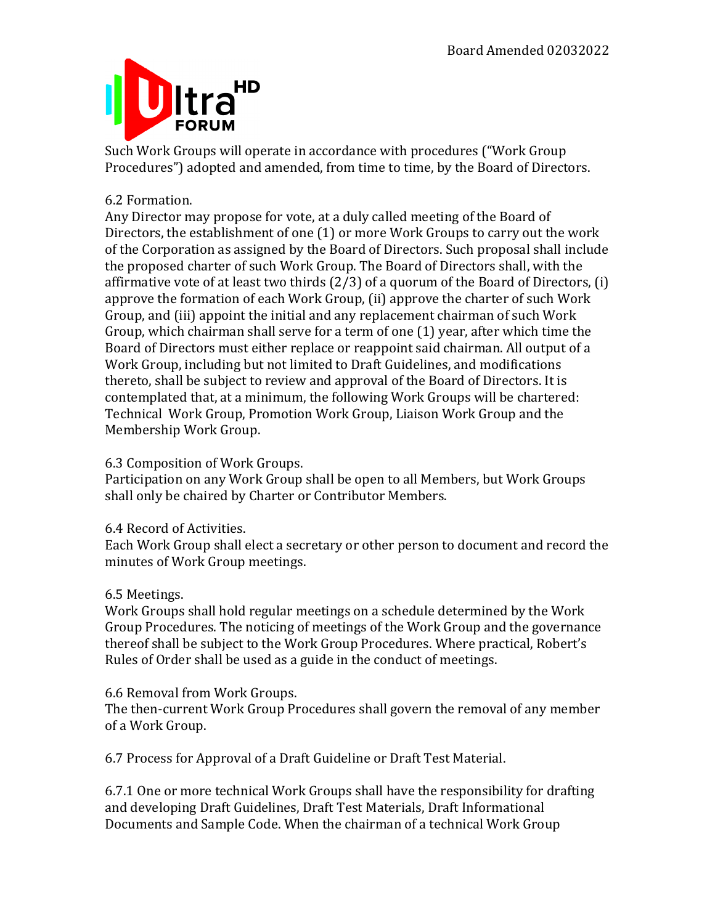

Such Work Groups will operate in accordance with procedures ("Work Group Procedures") adopted and amended, from time to time, by the Board of Directors.

## 6.2 Formation.

Any Director may propose for vote, at a duly called meeting of the Board of Directors, the establishment of one  $(1)$  or more Work Groups to carry out the work of the Corporation as assigned by the Board of Directors. Such proposal shall include the proposed charter of such Work Group. The Board of Directors shall, with the affirmative vote of at least two thirds  $(2/3)$  of a quorum of the Board of Directors,  $(i)$ approve the formation of each Work Group, (ii) approve the charter of such Work Group, and (iii) appoint the initial and any replacement chairman of such Work Group, which chairman shall serve for a term of one  $(1)$  year, after which time the Board of Directors must either replace or reappoint said chairman. All output of a Work Group, including but not limited to Draft Guidelines, and modifications thereto, shall be subject to review and approval of the Board of Directors. It is contemplated that, at a minimum, the following Work Groups will be chartered: Technical Work Group, Promotion Work Group, Liaison Work Group and the Membership Work Group.

## 6.3 Composition of Work Groups.

Participation on any Work Group shall be open to all Members, but Work Groups shall only be chaired by Charter or Contributor Members.

#### 6.4 Record of Activities.

Each Work Group shall elect a secretary or other person to document and record the minutes of Work Group meetings.

#### 6.5 Meetings.

Work Groups shall hold regular meetings on a schedule determined by the Work Group Procedures. The noticing of meetings of the Work Group and the governance thereof shall be subject to the Work Group Procedures. Where practical, Robert's Rules of Order shall be used as a guide in the conduct of meetings.

#### 6.6 Removal from Work Groups.

The then-current Work Group Procedures shall govern the removal of any member of a Work Group.

6.7 Process for Approval of a Draft Guideline or Draft Test Material.

6.7.1 One or more technical Work Groups shall have the responsibility for drafting and developing Draft Guidelines, Draft Test Materials, Draft Informational Documents and Sample Code. When the chairman of a technical Work Group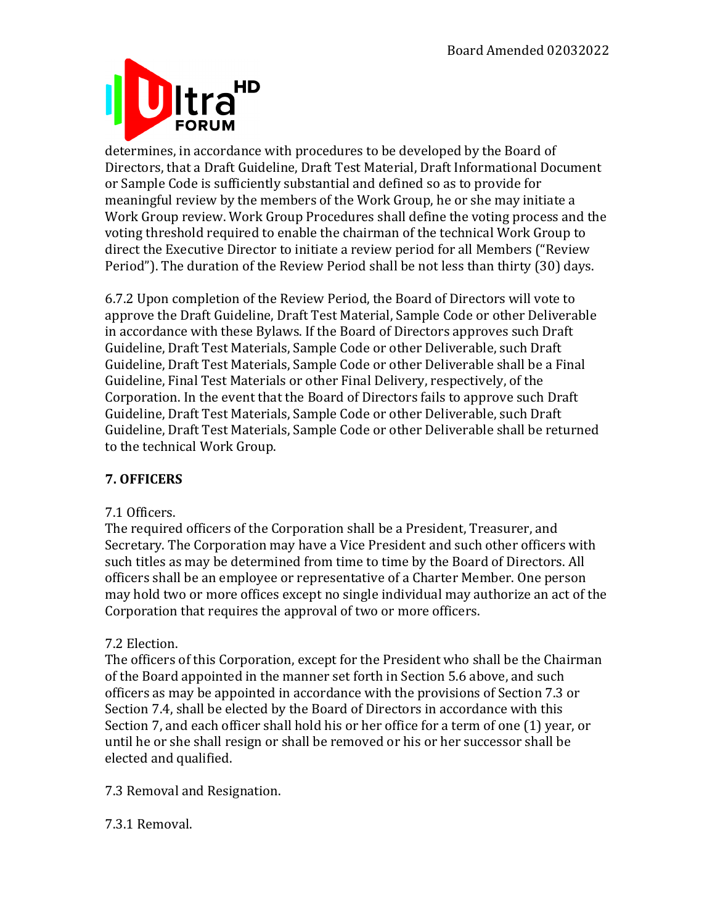

determines, in accordance with procedures to be developed by the Board of Directors, that a Draft Guideline, Draft Test Material, Draft Informational Document or Sample Code is sufficiently substantial and defined so as to provide for meaningful review by the members of the Work Group, he or she may initiate a Work Group review. Work Group Procedures shall define the voting process and the voting threshold required to enable the chairman of the technical Work Group to direct the Executive Director to initiate a review period for all Members ("Review Period"). The duration of the Review Period shall be not less than thirty (30) days.

6.7.2 Upon completion of the Review Period, the Board of Directors will vote to approve the Draft Guideline, Draft Test Material, Sample Code or other Deliverable in accordance with these Bylaws. If the Board of Directors approves such Draft Guideline, Draft Test Materials, Sample Code or other Deliverable, such Draft Guideline, Draft Test Materials, Sample Code or other Deliverable shall be a Final Guideline, Final Test Materials or other Final Delivery, respectively, of the Corporation. In the event that the Board of Directors fails to approve such Draft Guideline, Draft Test Materials, Sample Code or other Deliverable, such Draft Guideline, Draft Test Materials, Sample Code or other Deliverable shall be returned to the technical Work Group.

## **7. OFFICERS**

#### 7.1 Officers.

The required officers of the Corporation shall be a President, Treasurer, and Secretary. The Corporation may have a Vice President and such other officers with such titles as may be determined from time to time by the Board of Directors. All officers shall be an employee or representative of a Charter Member. One person may hold two or more offices except no single individual may authorize an act of the Corporation that requires the approval of two or more officers.

## 7.2 Election.

The officers of this Corporation, except for the President who shall be the Chairman of the Board appointed in the manner set forth in Section 5.6 above, and such officers as may be appointed in accordance with the provisions of Section 7.3 or Section 7.4, shall be elected by the Board of Directors in accordance with this Section 7, and each officer shall hold his or her office for a term of one (1) year, or until he or she shall resign or shall be removed or his or her successor shall be elected and qualified.

7.3 Removal and Resignation.

## 7.3.1 Removal.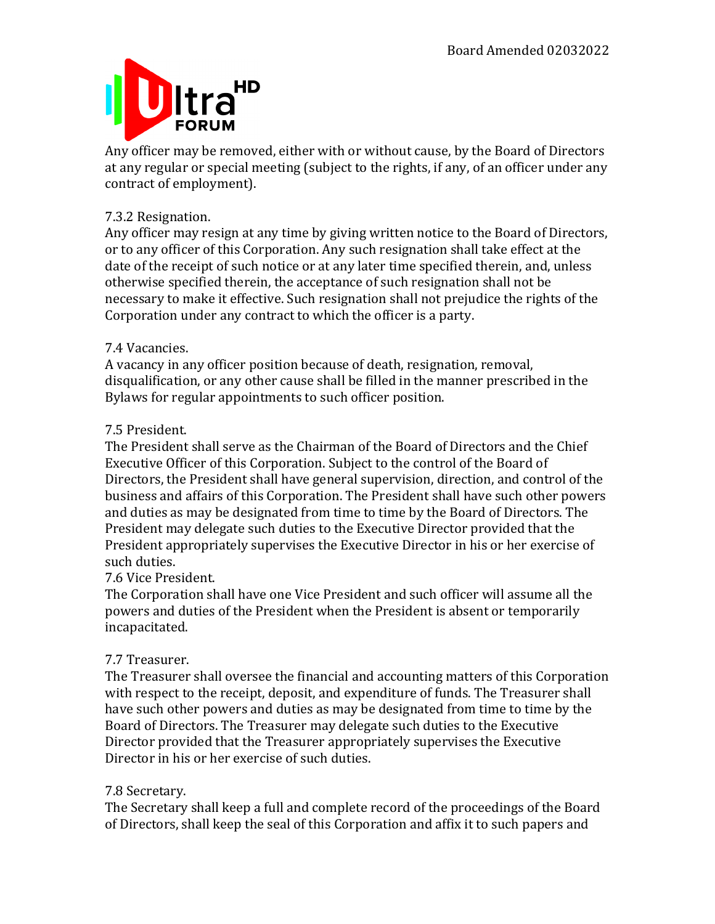

Any officer may be removed, either with or without cause, by the Board of Directors at any regular or special meeting (subject to the rights, if any, of an officer under any contract of employment).

## 7.3.2 Resignation.

Any officer may resign at any time by giving written notice to the Board of Directors, or to any officer of this Corporation. Any such resignation shall take effect at the date of the receipt of such notice or at any later time specified therein, and, unless otherwise specified therein, the acceptance of such resignation shall not be necessary to make it effective. Such resignation shall not prejudice the rights of the Corporation under any contract to which the officer is a party.

## 7.4 Vacancies.

A vacancy in any officer position because of death, resignation, removal, disqualification, or any other cause shall be filled in the manner prescribed in the Bylaws for regular appointments to such officer position.

## 7.5 President.

The President shall serve as the Chairman of the Board of Directors and the Chief Executive Officer of this Corporation. Subject to the control of the Board of Directors, the President shall have general supervision, direction, and control of the business and affairs of this Corporation. The President shall have such other powers and duties as may be designated from time to time by the Board of Directors. The President may delegate such duties to the Executive Director provided that the President appropriately supervises the Executive Director in his or her exercise of such duties.

## 7.6 Vice President.

The Corporation shall have one Vice President and such officer will assume all the powers and duties of the President when the President is absent or temporarily incapacitated.

## 7.7 Treasurer.

The Treasurer shall oversee the financial and accounting matters of this Corporation with respect to the receipt, deposit, and expenditure of funds. The Treasurer shall have such other powers and duties as may be designated from time to time by the Board of Directors. The Treasurer may delegate such duties to the Executive Director provided that the Treasurer appropriately supervises the Executive Director in his or her exercise of such duties.

## 7.8 Secretary.

The Secretary shall keep a full and complete record of the proceedings of the Board of Directors, shall keep the seal of this Corporation and affix it to such papers and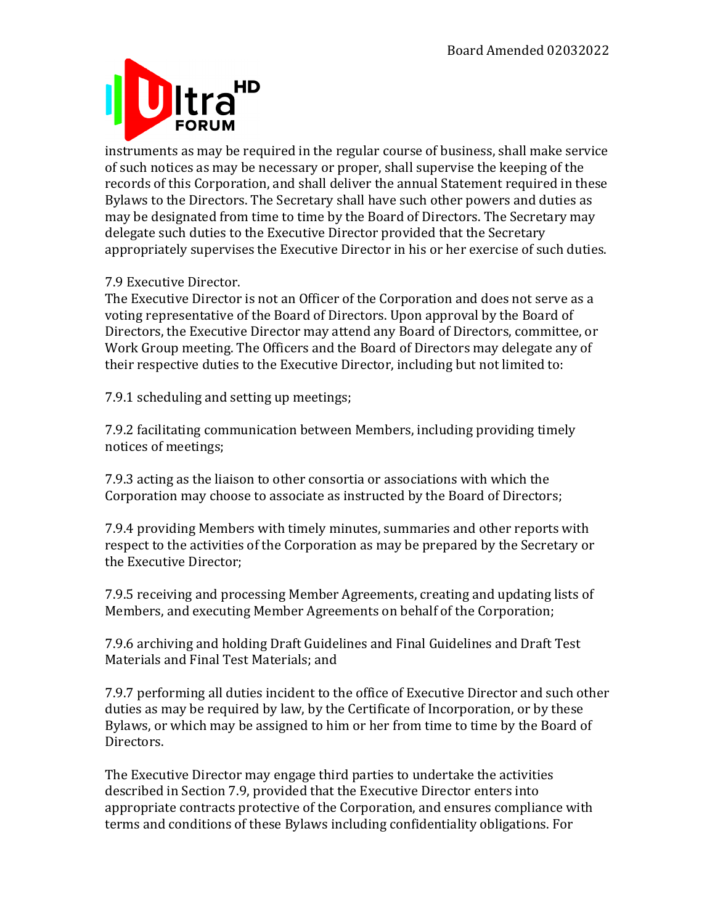

instruments as may be required in the regular course of business, shall make service of such notices as may be necessary or proper, shall supervise the keeping of the records of this Corporation, and shall deliver the annual Statement required in these Bylaws to the Directors. The Secretary shall have such other powers and duties as may be designated from time to time by the Board of Directors. The Secretary may delegate such duties to the Executive Director provided that the Secretary appropriately supervises the Executive Director in his or her exercise of such duties.

## 7.9 Executive Director.

The Executive Director is not an Officer of the Corporation and does not serve as a voting representative of the Board of Directors. Upon approval by the Board of Directors, the Executive Director may attend any Board of Directors, committee, or Work Group meeting. The Officers and the Board of Directors may delegate any of their respective duties to the Executive Director, including but not limited to:

7.9.1 scheduling and setting up meetings;

7.9.2 facilitating communication between Members, including providing timely notices of meetings;

7.9.3 acting as the liaison to other consortia or associations with which the Corporation may choose to associate as instructed by the Board of Directors;

7.9.4 providing Members with timely minutes, summaries and other reports with respect to the activities of the Corporation as may be prepared by the Secretary or the Executive Director;

7.9.5 receiving and processing Member Agreements, creating and updating lists of Members, and executing Member Agreements on behalf of the Corporation;

7.9.6 archiving and holding Draft Guidelines and Final Guidelines and Draft Test Materials and Final Test Materials; and

7.9.7 performing all duties incident to the office of Executive Director and such other duties as may be required by law, by the Certificate of Incorporation, or by these Bylaws, or which may be assigned to him or her from time to time by the Board of Directors.

The Executive Director may engage third parties to undertake the activities described in Section 7.9, provided that the Executive Director enters into appropriate contracts protective of the Corporation, and ensures compliance with terms and conditions of these Bylaws including confidentiality obligations. For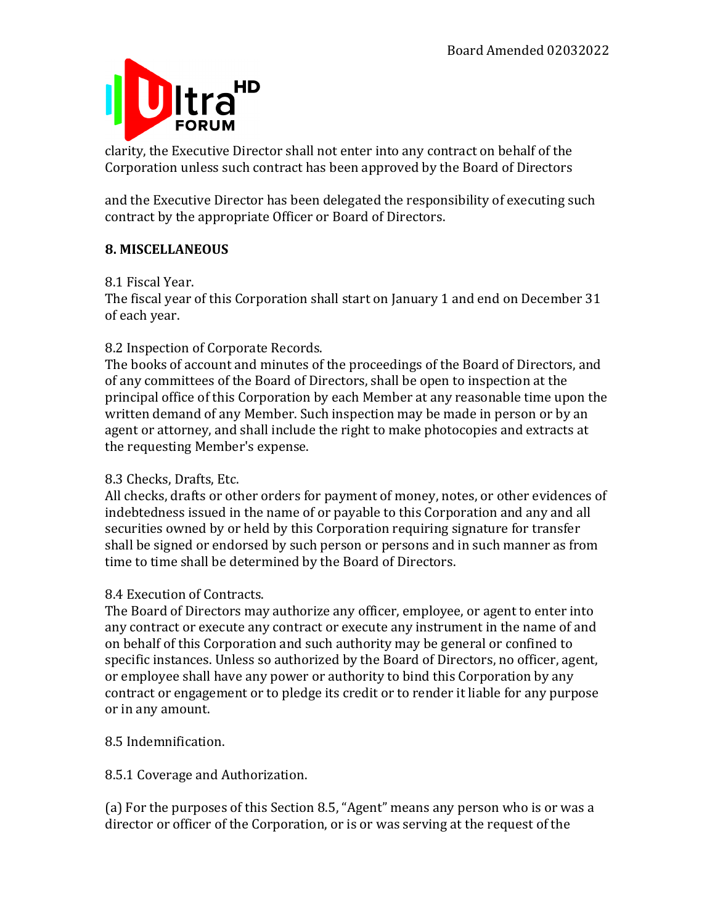

clarity, the Executive Director shall not enter into any contract on behalf of the Corporation unless such contract has been approved by the Board of Directors

and the Executive Director has been delegated the responsibility of executing such contract by the appropriate Officer or Board of Directors.

## **8. MISCELLANEOUS**

## 8.1 Fiscal Year.

The fiscal year of this Corporation shall start on January 1 and end on December 31 of each year.

## 8.2 Inspection of Corporate Records.

The books of account and minutes of the proceedings of the Board of Directors, and of any committees of the Board of Directors, shall be open to inspection at the principal office of this Corporation by each Member at any reasonable time upon the written demand of any Member. Such inspection may be made in person or by an agent or attorney, and shall include the right to make photocopies and extracts at the requesting Member's expense.

## 8.3 Checks, Drafts, Etc.

All checks, drafts or other orders for payment of money, notes, or other evidences of indebtedness issued in the name of or payable to this Corporation and any and all securities owned by or held by this Corporation requiring signature for transfer shall be signed or endorsed by such person or persons and in such manner as from time to time shall be determined by the Board of Directors.

## 8.4 Execution of Contracts.

The Board of Directors may authorize any officer, employee, or agent to enter into any contract or execute any contract or execute any instrument in the name of and on behalf of this Corporation and such authority may be general or confined to specific instances. Unless so authorized by the Board of Directors, no officer, agent, or employee shall have any power or authority to bind this Corporation by any contract or engagement or to pledge its credit or to render it liable for any purpose or in any amount.

8.5 Indemnification.

8.5.1 Coverage and Authorization.

(a) For the purposes of this Section 8.5, "Agent" means any person who is or was a director or officer of the Corporation, or is or was serving at the request of the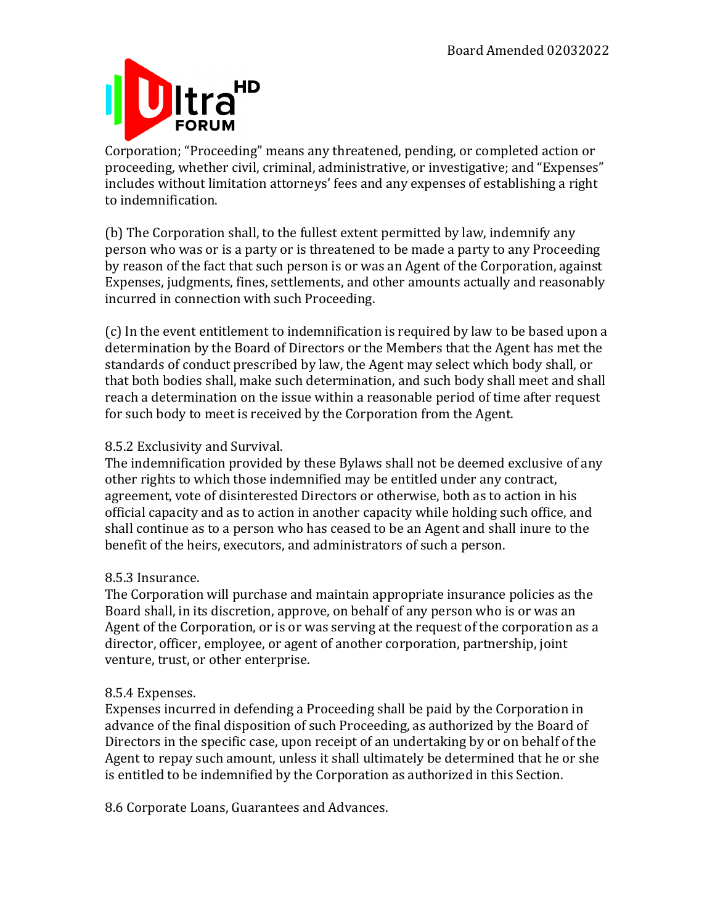

Corporation; "Proceeding" means any threatened, pending, or completed action or proceeding, whether civil, criminal, administrative, or investigative; and "Expenses" includes without limitation attorneys' fees and any expenses of establishing a right to indemnification.

(b) The Corporation shall, to the fullest extent permitted by law, indemnify any person who was or is a party or is threatened to be made a party to any Proceeding by reason of the fact that such person is or was an Agent of the Corporation, against Expenses, judgments, fines, settlements, and other amounts actually and reasonably incurred in connection with such Proceeding.

(c) In the event entitlement to indemnification is required by law to be based upon a determination by the Board of Directors or the Members that the Agent has met the standards of conduct prescribed by law, the Agent may select which body shall, or that both bodies shall, make such determination, and such body shall meet and shall reach a determination on the issue within a reasonable period of time after request for such body to meet is received by the Corporation from the Agent.

## 8.5.2 Exclusivity and Survival.

The indemnification provided by these Bylaws shall not be deemed exclusive of any other rights to which those indemnified may be entitled under any contract, agreement, vote of disinterested Directors or otherwise, both as to action in his official capacity and as to action in another capacity while holding such office, and shall continue as to a person who has ceased to be an Agent and shall inure to the benefit of the heirs, executors, and administrators of such a person.

## 8.5.3 Insurance.

The Corporation will purchase and maintain appropriate insurance policies as the Board shall, in its discretion, approve, on behalf of any person who is or was an Agent of the Corporation, or is or was serving at the request of the corporation as a director, officer, employee, or agent of another corporation, partnership, joint venture, trust, or other enterprise.

## 8.5.4 Expenses.

Expenses incurred in defending a Proceeding shall be paid by the Corporation in advance of the final disposition of such Proceeding, as authorized by the Board of Directors in the specific case, upon receipt of an undertaking by or on behalf of the Agent to repay such amount, unless it shall ultimately be determined that he or she is entitled to be indemnified by the Corporation as authorized in this Section.

8.6 Corporate Loans, Guarantees and Advances.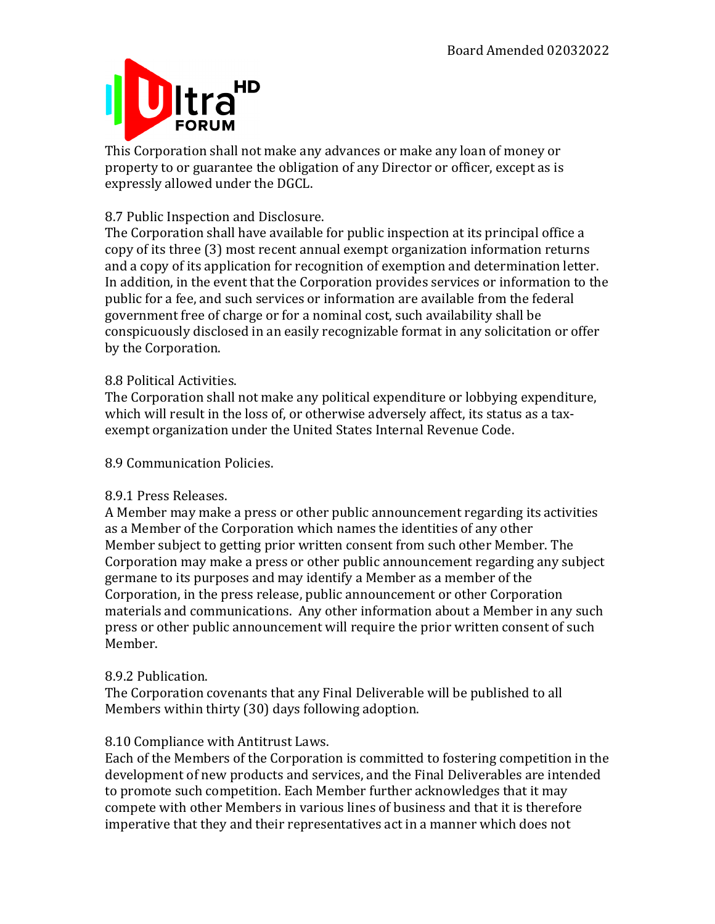

This Corporation shall not make any advances or make any loan of money or property to or guarantee the obligation of any Director or officer, except as is expressly allowed under the DGCL.

## 8.7 Public Inspection and Disclosure.

The Corporation shall have available for public inspection at its principal office a copy of its three (3) most recent annual exempt organization information returns and a copy of its application for recognition of exemption and determination letter. In addition, in the event that the Corporation provides services or information to the public for a fee, and such services or information are available from the federal government free of charge or for a nominal cost, such availability shall be conspicuously disclosed in an easily recognizable format in any solicitation or offer by the Corporation.

## 8.8 Political Activities.

The Corporation shall not make any political expenditure or lobbying expenditure, which will result in the loss of, or otherwise adversely affect, its status as a taxexempt organization under the United States Internal Revenue Code.

8.9 Communication Policies.

#### 8.9.1 Press Releases.

A Member may make a press or other public announcement regarding its activities as a Member of the Corporation which names the identities of any other Member subject to getting prior written consent from such other Member. The Corporation may make a press or other public announcement regarding any subject germane to its purposes and may identify a Member as a member of the Corporation, in the press release, public announcement or other Corporation materials and communications. Any other information about a Member in any such press or other public announcement will require the prior written consent of such Member.

#### 8.9.2 Publication.

The Corporation covenants that any Final Deliverable will be published to all Members within thirty  $(30)$  days following adoption.

#### 8.10 Compliance with Antitrust Laws.

Each of the Members of the Corporation is committed to fostering competition in the development of new products and services, and the Final Deliverables are intended to promote such competition. Each Member further acknowledges that it may compete with other Members in various lines of business and that it is therefore imperative that they and their representatives act in a manner which does not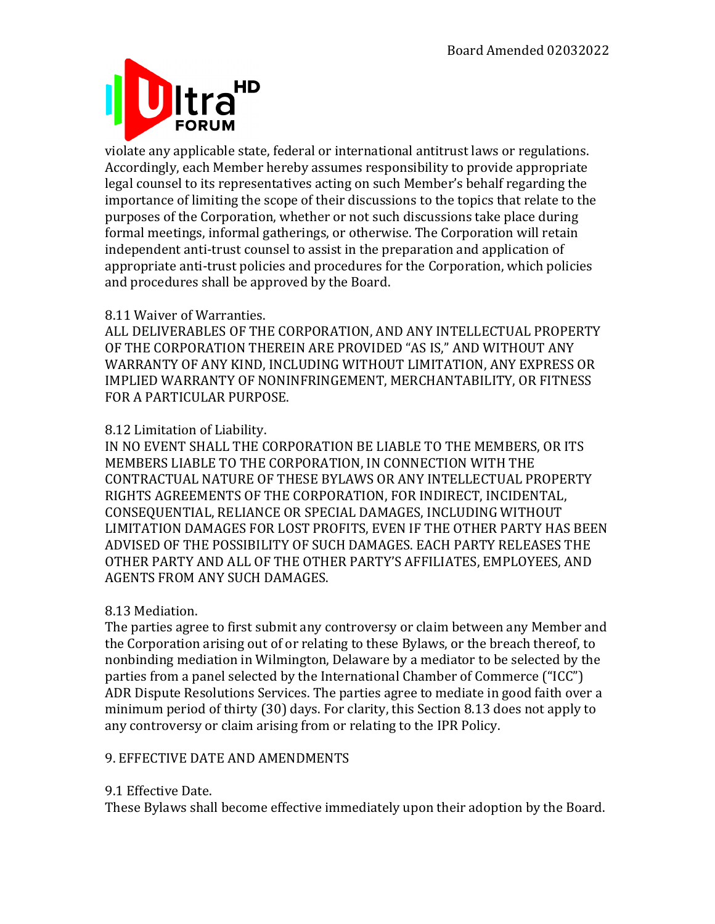

violate any applicable state, federal or international antitrust laws or regulations. Accordingly, each Member hereby assumes responsibility to provide appropriate legal counsel to its representatives acting on such Member's behalf regarding the importance of limiting the scope of their discussions to the topics that relate to the purposes of the Corporation, whether or not such discussions take place during formal meetings, informal gatherings, or otherwise. The Corporation will retain independent anti-trust counsel to assist in the preparation and application of appropriate anti-trust policies and procedures for the Corporation, which policies and procedures shall be approved by the Board.

#### 8.11 Waiver of Warranties.

ALL DELIVERABLES OF THE CORPORATION, AND ANY INTELLECTUAL PROPERTY OF THE CORPORATION THEREIN ARE PROVIDED "AS IS," AND WITHOUT ANY WARRANTY OF ANY KIND, INCLUDING WITHOUT LIMITATION, ANY EXPRESS OR IMPLIED WARRANTY OF NONINFRINGEMENT, MERCHANTABILITY, OR FITNESS FOR A PARTICULAR PURPOSE.

## 8.12 Limitation of Liability.

IN NO EVENT SHALL THE CORPORATION BE LIABLE TO THE MEMBERS, OR ITS MEMBERS LIABLE TO THE CORPORATION, IN CONNECTION WITH THE CONTRACTUAL NATURE OF THESE BYLAWS OR ANY INTELLECTUAL PROPERTY RIGHTS AGREEMENTS OF THE CORPORATION, FOR INDIRECT, INCIDENTAL, CONSEQUENTIAL, RELIANCE OR SPECIAL DAMAGES, INCLUDING WITHOUT LIMITATION DAMAGES FOR LOST PROFITS, EVEN IF THE OTHER PARTY HAS BEEN ADVISED OF THE POSSIBILITY OF SUCH DAMAGES. EACH PARTY RELEASES THE OTHER PARTY AND ALL OF THE OTHER PARTY'S AFFILIATES, EMPLOYEES, AND AGENTS FROM ANY SUCH DAMAGES.

## 8.13 Mediation.

The parties agree to first submit any controversy or claim between any Member and the Corporation arising out of or relating to these Bylaws, or the breach thereof, to nonbinding mediation in Wilmington, Delaware by a mediator to be selected by the parties from a panel selected by the International Chamber of Commerce ("ICC") ADR Dispute Resolutions Services. The parties agree to mediate in good faith over a minimum period of thirty  $(30)$  days. For clarity, this Section 8.13 does not apply to any controversy or claim arising from or relating to the IPR Policy.

## 9. EFFECTIVE DATE AND AMENDMENTS

#### 9.1 Effective Date.

These Bylaws shall become effective immediately upon their adoption by the Board.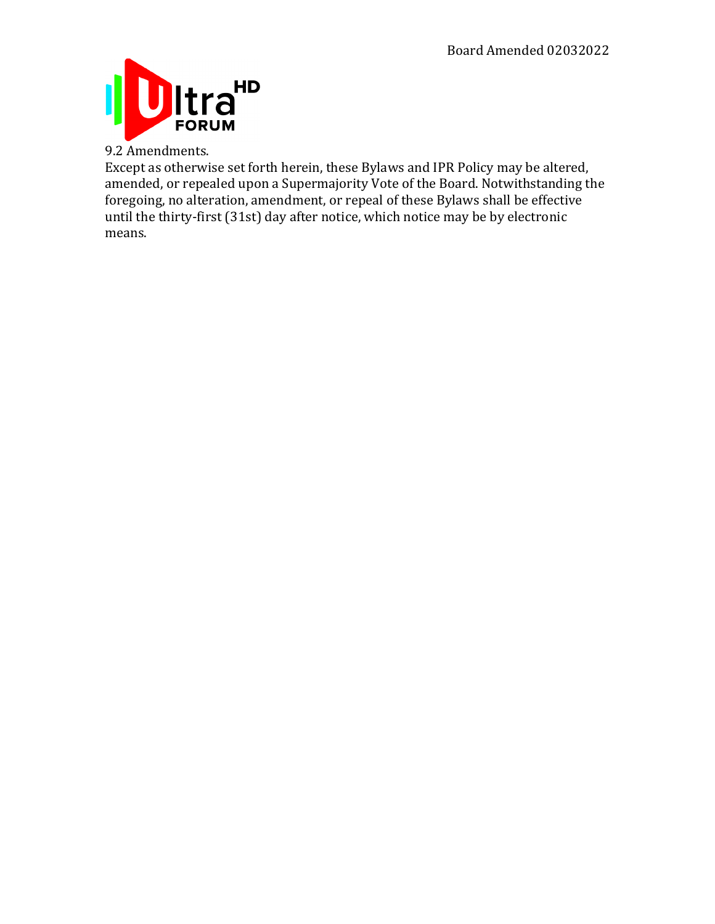

9.2 Amendments.

Except as otherwise set forth herein, these Bylaws and IPR Policy may be altered, amended, or repealed upon a Supermajority Vote of the Board. Notwithstanding the foregoing, no alteration, amendment, or repeal of these Bylaws shall be effective until the thirty-first (31st) day after notice, which notice may be by electronic means.